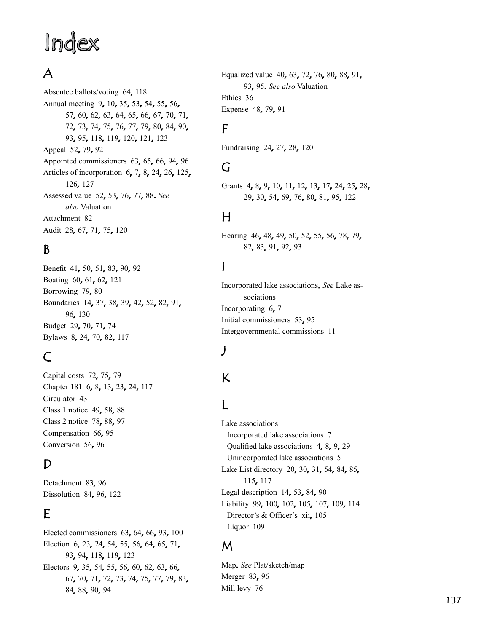## Inde

## A

Absentee ballots/voting 64, 118 Annual meeting 9, 10, 35, 53, 54, 55, 56, 57, 60, 62, 63, 64, 65, 66, 67, 70, 71, 72, 73, 74, 75, 76, 77, 79, 80, 84, 90, 93, 95, 118, 119, 120, 121, 123 Appeal 52, 79, 92 Appointed commissioners 63, 65, 66, 94, 96 Articles of incorporation 6, 7, 8, 24, 26, 125, 12 6, 12 7 Assessed value 5 2, 5 3, 7 6, 7 7, 8 8. *See also* Valuation Attachment 8 2 Audit 28, 67, 71, 75, 120

## B

Benefit 41, 50, 51, 83, 90, 92 Boating 60, 61, 62, 121 Borrowing 79, 80 Boundaries 14, 37, 38, 39, 42, 52, 82, 91, 9 6, 13 0 Budget 29, 70, 71, 74 Bylaws 8, 24, 70, 82, 117

## C

Capital costs 72, 75, 79 Chapter 181 6, 8, 13, 23, 24, 117 Circulator 4 3 Class 1 notice 49, 58, 88 Class 2 notice 78, 88, 97 Compensation 66, 95 Conversion 56, 96

#### D

Detachment 83, 96 Dissolution 84, 96, 122

## E

Elected commissioners 63, 64, 66, 93, 100 Election 6, 23, 24, 54, 55, 56, 64, 65, 71, 93, 94, 118, 119, 123 Electors 9, 35, 54, 55, 56, 60, 62, 63, 66, 67, 70, 71, 72, 73, 74, 75, 77, 79, 83, 84, 88, 90, 94

Equalized value 40, 63, 72, 76, 80, 88, 91, 9 3, 9 5. *See also* Valuation Ethics 3 6 Expense 48, 79, 91

#### F

Fundraising 24, 27, 28, 120

## G

Grants 4, 8, 9, 10, 11, 12, 13, 17, 24, 25, 28, 29, 30, 54, 69, 76, 80, 81, 95, 122

## H

Hearing 46, 48, 49, 50, 52, 55, 56, 78, 79, 82, 83, 91, 92, 93

## I

Incorporated lake associations. *See* Lake as sociations Incorporating 6, 7 Initial commissioners 53, 95 Intergovernmental commissions 1 1

#### J

# J<br>K<br>L K

#### L

Lake associations Incorporated lake associations 7 Qualified lake associations 4, 8, 9, 29 Unincorporated lake associations 5 Lake List directory 20, 30, 31, 54, 84, 85, 11 5, 11 7 Legal description 14, 53, 84, 90 Liability 99, 100, 102, 105, 107, 109, 114 Director's & Officer's xii, 105 Liquor 10 9

#### M

Map. *See* Plat/sketch/map Merger 83, 96 Mill levy 7 6